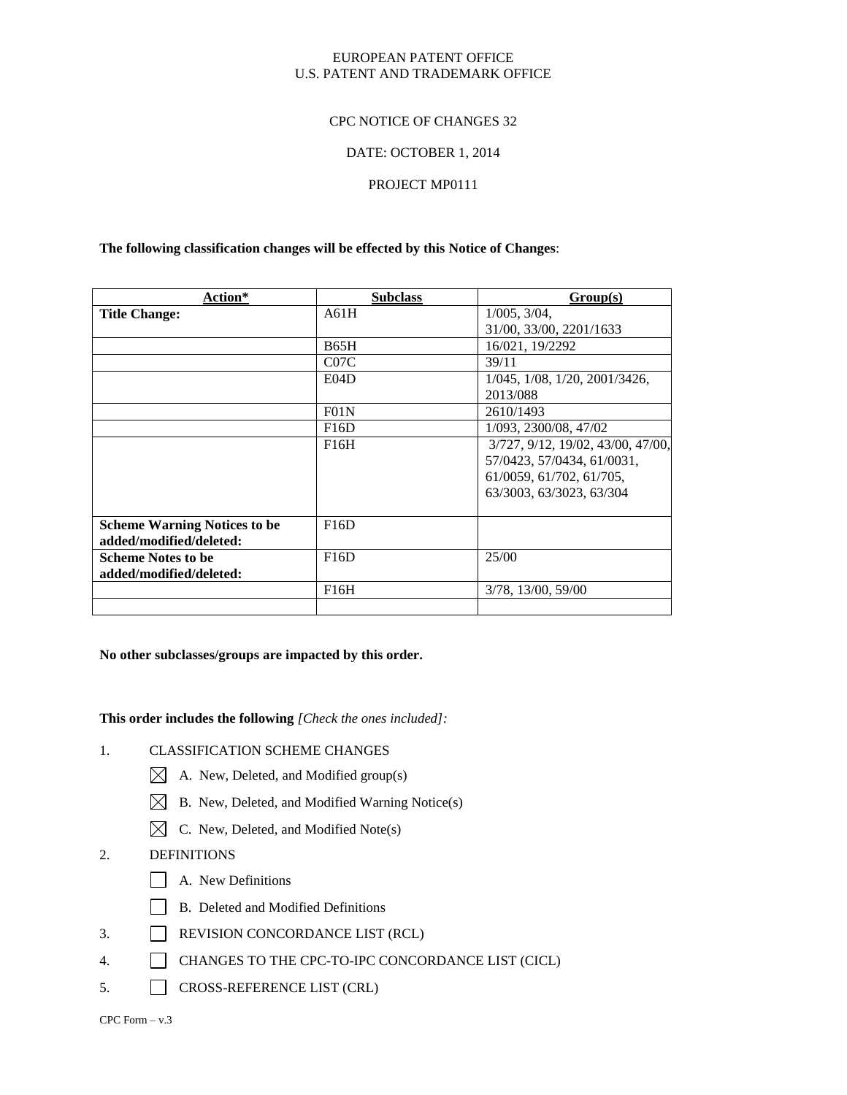### EUROPEAN PATENT OFFICE U.S. PATENT AND TRADEMARK OFFICE

### CPC NOTICE OF CHANGES 32

#### DATE: OCTOBER 1, 2014

### PROJECT MP0111

#### **The following classification changes will be effected by this Notice of Changes**:

| Action*                             | <b>Subclass</b>   | Group(s)                                  |
|-------------------------------------|-------------------|-------------------------------------------|
| <b>Title Change:</b>                | A61H              | $1/005$ , $3/04$ ,                        |
|                                     |                   | 31/00, 33/00, 2201/1633                   |
|                                     | <b>B65H</b>       | 16/021, 19/2292                           |
|                                     | C <sub>07</sub> C | 39/11                                     |
|                                     | E04D              | $1/045$ , $1/08$ , $1/20$ , $2001/3426$ , |
|                                     |                   | 2013/088                                  |
|                                     | F01N              | 2610/1493                                 |
|                                     | F16D              | 1/093, 2300/08, 47/02                     |
|                                     | F16H              | 3/727, 9/12, 19/02, 43/00, 47/00,         |
|                                     |                   | 57/0423, 57/0434, 61/0031,                |
|                                     |                   | 61/0059, 61/702, 61/705,                  |
|                                     |                   | 63/3003, 63/3023, 63/304                  |
|                                     |                   |                                           |
| <b>Scheme Warning Notices to be</b> | F16D              |                                           |
| added/modified/deleted:             |                   |                                           |
| <b>Scheme Notes to be</b>           | F16D              | 25/00                                     |
| added/modified/deleted:             |                   |                                           |
|                                     | F16H              | 3/78, 13/00, 59/00                        |
|                                     |                   |                                           |

## **No other subclasses/groups are impacted by this order.**

#### **This order includes the following** *[Check the ones included]:*

- 1. CLASSIFICATION SCHEME CHANGES
	- $\boxtimes$  A. New, Deleted, and Modified group(s)
	- $\boxtimes$  B. New, Deleted, and Modified Warning Notice(s)
	- $\boxtimes$  C. New, Deleted, and Modified Note(s)

# 2. DEFINITIONS

- A. New Definitions
- B. Deleted and Modified Definitions
- 3. REVISION CONCORDANCE LIST (RCL)
- 4. CHANGES TO THE CPC-TO-IPC CONCORDANCE LIST (CICL)
- 5. CROSS-REFERENCE LIST (CRL)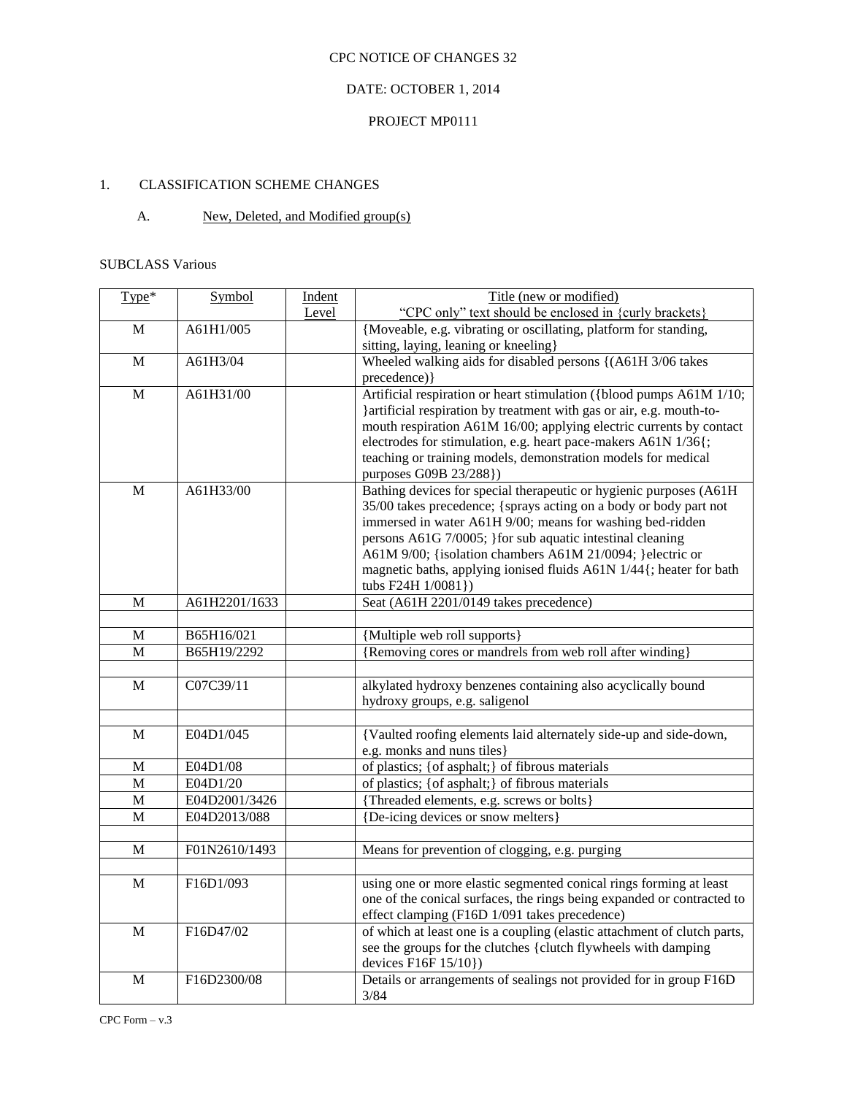# DATE: OCTOBER 1, 2014

## PROJECT MP0111

# 1. CLASSIFICATION SCHEME CHANGES

## A. New, Deleted, and Modified group(s)

### SUBCLASS Various

| Type*            | Symbol                    | Indent | Title (new or modified)                                                                      |  |
|------------------|---------------------------|--------|----------------------------------------------------------------------------------------------|--|
|                  |                           | Level  | "CPC only" text should be enclosed in {curly brackets}                                       |  |
| M                | A61H1/005                 |        | {Moveable, e.g. vibrating or oscillating, platform for standing,                             |  |
|                  |                           |        | sitting, laying, leaning or kneeling}                                                        |  |
| M                | A61H3/04                  |        | Wheeled walking aids for disabled persons {(A61H 3/06 takes)                                 |  |
|                  |                           |        | precedence) }                                                                                |  |
| M                | A61H31/00                 |        | Artificial respiration or heart stimulation ({blood pumps A61M 1/10;                         |  |
|                  |                           |        | } artificial respiration by treatment with gas or air, e.g. mouth-to-                        |  |
|                  |                           |        | mouth respiration A61M 16/00; applying electric currents by contact                          |  |
|                  |                           |        | electrodes for stimulation, e.g. heart pace-makers A61N 1/36{;                               |  |
|                  |                           |        | teaching or training models, demonstration models for medical                                |  |
| $\mathbf{M}$     | A61H33/00                 |        | purposes G09B 23/288})<br>Bathing devices for special therapeutic or hygienic purposes (A61H |  |
|                  |                           |        | 35/00 takes precedence; {sprays acting on a body or body part not                            |  |
|                  |                           |        | immersed in water A61H 9/00; means for washing bed-ridden                                    |  |
|                  |                           |        | persons A61G 7/0005; } for sub aquatic intestinal cleaning                                   |  |
|                  |                           |        | A61M 9/00; {isolation chambers A61M 21/0094; }electric or                                    |  |
|                  |                           |        | magnetic baths, applying ionised fluids A61N 1/44{; heater for bath                          |  |
|                  |                           |        | tubs F24H 1/0081})                                                                           |  |
| M                | A61H2201/1633             |        | Seat (A61H 2201/0149 takes precedence)                                                       |  |
|                  |                           |        |                                                                                              |  |
| М                | B65H16/021                |        | {Multiple web roll supports}                                                                 |  |
| M                | B65H19/2292               |        | {Removing cores or mandrels from web roll after winding}                                     |  |
|                  |                           |        |                                                                                              |  |
| M                | C07C39/11                 |        | alkylated hydroxy benzenes containing also acyclically bound                                 |  |
|                  |                           |        | hydroxy groups, e.g. saligenol                                                               |  |
|                  |                           |        |                                                                                              |  |
| M                | E04D1/045                 |        | {Vaulted roofing elements laid alternately side-up and side-down,                            |  |
|                  |                           |        | e.g. monks and nuns tiles}                                                                   |  |
| M                | E04D1/08                  |        | of plastics; {of asphalt;} of fibrous materials                                              |  |
| $\mathbf M$<br>M | E04D1/20<br>E04D2001/3426 |        | of plastics; {of asphalt;} of fibrous materials<br>{Threaded elements, e.g. screws or bolts} |  |
|                  |                           |        |                                                                                              |  |
| M                | E04D2013/088              |        | {De-icing devices or snow melters}                                                           |  |
| M                | F01N2610/1493             |        | Means for prevention of clogging, e.g. purging                                               |  |
|                  |                           |        |                                                                                              |  |
| M                | F16D1/093                 |        | using one or more elastic segmented conical rings forming at least                           |  |
|                  |                           |        | one of the conical surfaces, the rings being expanded or contracted to                       |  |
|                  |                           |        | effect clamping (F16D 1/091 takes precedence)                                                |  |
| M                | F16D47/02                 |        | of which at least one is a coupling (elastic attachment of clutch parts,                     |  |
|                  |                           |        | see the groups for the clutches {clutch flywheels with damping                               |  |
|                  |                           |        | devices F16F 15/10})                                                                         |  |
| M                | F16D2300/08               |        | Details or arrangements of sealings not provided for in group F16D                           |  |
|                  |                           |        | 3/84                                                                                         |  |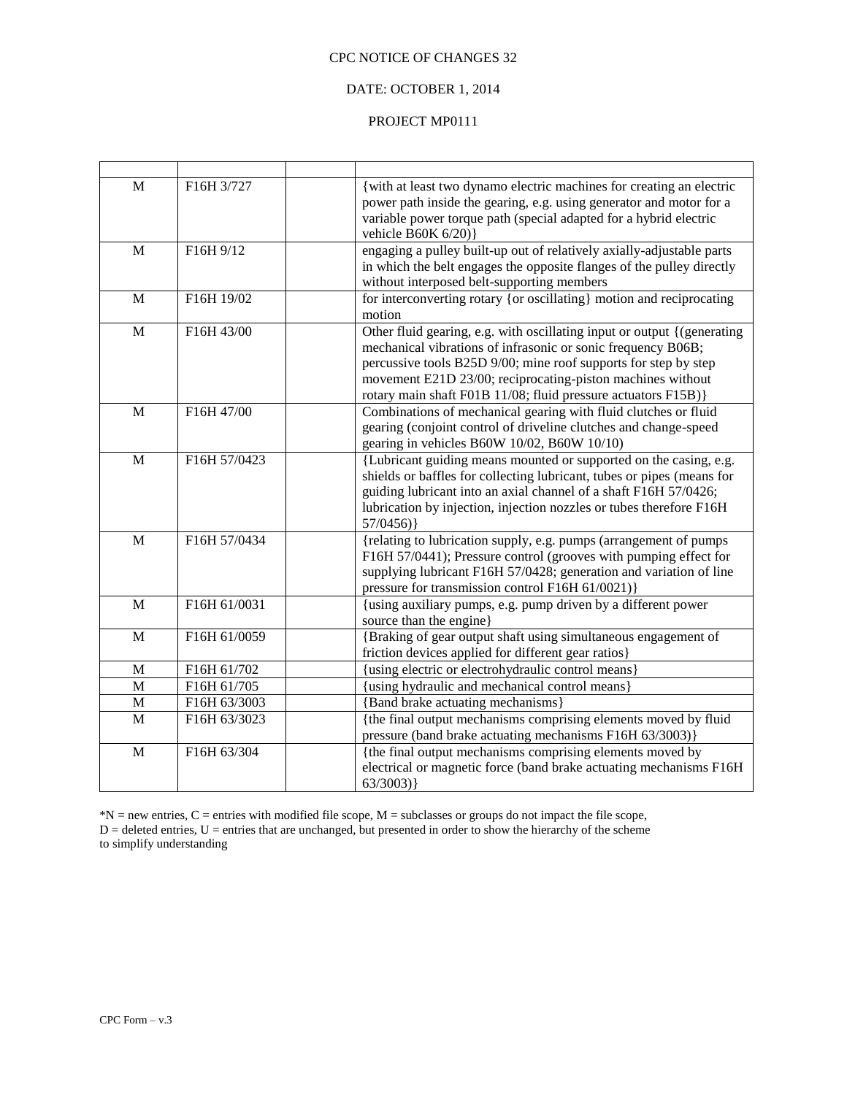## DATE: OCTOBER 1, 2014

## PROJECT MP0111

| M | F16H 3/727   | { with at least two dynamo electric machines for creating an electric<br>power path inside the gearing, e.g. using generator and motor for a<br>variable power torque path (special adapted for a hybrid electric<br>vehicle B60K 6/20)}                                                                                                   |
|---|--------------|--------------------------------------------------------------------------------------------------------------------------------------------------------------------------------------------------------------------------------------------------------------------------------------------------------------------------------------------|
| M | F16H 9/12    | engaging a pulley built-up out of relatively axially-adjustable parts<br>in which the belt engages the opposite flanges of the pulley directly<br>without interposed belt-supporting members                                                                                                                                               |
| M | F16H 19/02   | for interconverting rotary {or oscillating} motion and reciprocating<br>motion                                                                                                                                                                                                                                                             |
| M | F16H 43/00   | Other fluid gearing, e.g. with oscillating input or output { (generating<br>mechanical vibrations of infrasonic or sonic frequency B06B;<br>percussive tools B25D 9/00; mine roof supports for step by step<br>movement E21D 23/00; reciprocating-piston machines without<br>rotary main shaft F01B 11/08; fluid pressure actuators F15B)} |
| M | F16H 47/00   | Combinations of mechanical gearing with fluid clutches or fluid<br>gearing (conjoint control of driveline clutches and change-speed<br>gearing in vehicles B60W 10/02, B60W 10/10)                                                                                                                                                         |
| M | F16H 57/0423 | {Lubricant guiding means mounted or supported on the casing, e.g.<br>shields or baffles for collecting lubricant, tubes or pipes (means for<br>guiding lubricant into an axial channel of a shaft F16H 57/0426;<br>lubrication by injection, injection nozzles or tubes therefore F16H<br>57/0456                                          |
| M | F16H 57/0434 | {relating to lubrication supply, e.g. pumps (arrangement of pumps<br>F16H 57/0441); Pressure control (grooves with pumping effect for<br>supplying lubricant F16H 57/0428; generation and variation of line<br>pressure for transmission control F16H 61/0021)}                                                                            |
| M | F16H 61/0031 | {using auxiliary pumps, e.g. pump driven by a different power<br>source than the engine)                                                                                                                                                                                                                                                   |
| M | F16H 61/0059 | {Braking of gear output shaft using simultaneous engagement of<br>friction devices applied for different gear ratios}                                                                                                                                                                                                                      |
| M | F16H 61/702  | {using electric or electrohydraulic control means}                                                                                                                                                                                                                                                                                         |
| M | F16H 61/705  | {using hydraulic and mechanical control means}                                                                                                                                                                                                                                                                                             |
| M | F16H 63/3003 | {Band brake actuating mechanisms}                                                                                                                                                                                                                                                                                                          |
| M | F16H 63/3023 | {the final output mechanisms comprising elements moved by fluid<br>pressure (band brake actuating mechanisms F16H 63/3003)}                                                                                                                                                                                                                |
| M | F16H 63/304  | {the final output mechanisms comprising elements moved by<br>electrical or magnetic force (band brake actuating mechanisms F16H<br>$63/3003$ }                                                                                                                                                                                             |

 $*N$  = new entries, C = entries with modified file scope, M = subclasses or groups do not impact the file scope,  $D =$  deleted entries,  $U =$  entries that are unchanged, but presented in order to show the hierarchy of the scheme to simplify understanding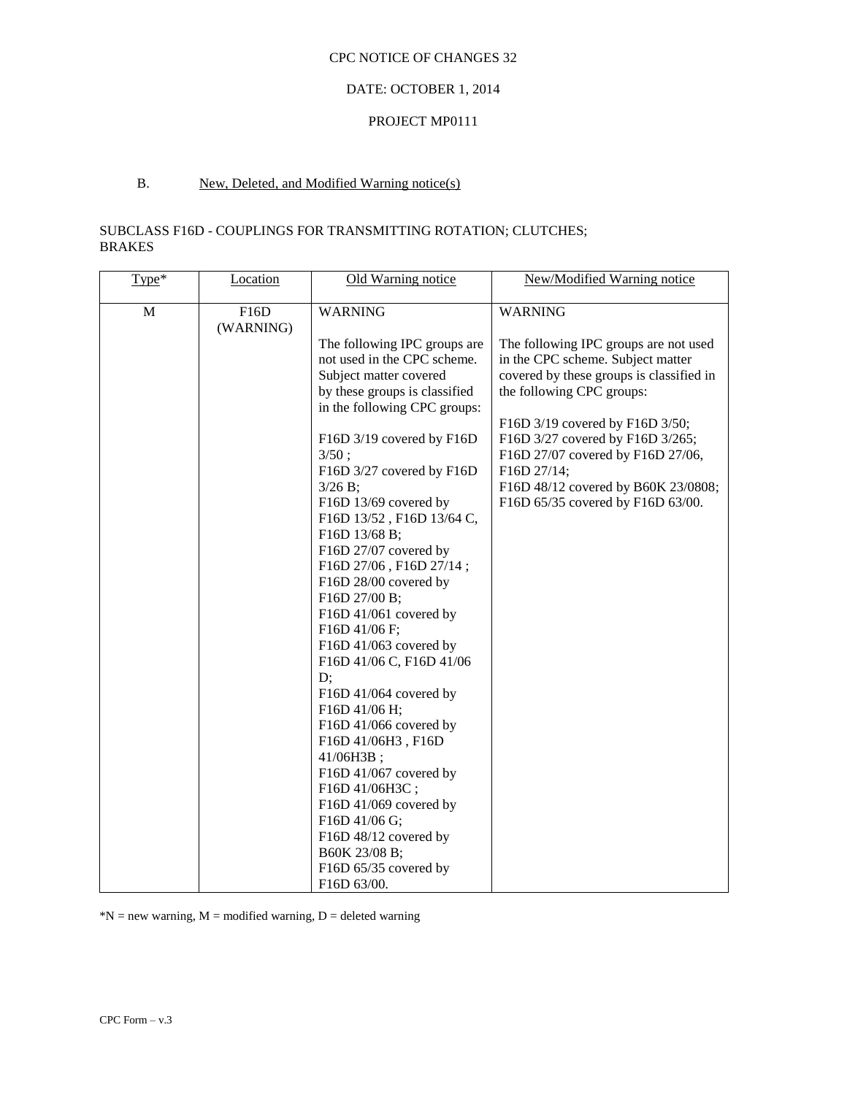# DATE: OCTOBER 1, 2014

#### PROJECT MP0111

# B. New, Deleted, and Modified Warning notice(s)

### SUBCLASS F16D - COUPLINGS FOR TRANSMITTING ROTATION; CLUTCHES; BRAKES

| $Type*$      | Location  | Old Warning notice                   | New/Modified Warning notice                                              |
|--------------|-----------|--------------------------------------|--------------------------------------------------------------------------|
| $\mathbf{M}$ | F16D      | <b>WARNING</b>                       | <b>WARNING</b>                                                           |
|              | (WARNING) |                                      |                                                                          |
|              |           | The following IPC groups are         | The following IPC groups are not used                                    |
|              |           | not used in the CPC scheme.          | in the CPC scheme. Subject matter                                        |
|              |           | Subject matter covered               | covered by these groups is classified in                                 |
|              |           | by these groups is classified        | the following CPC groups:                                                |
|              |           | in the following CPC groups:         |                                                                          |
|              |           |                                      | F16D 3/19 covered by F16D 3/50;                                          |
|              |           | F16D 3/19 covered by F16D            | F16D 3/27 covered by F16D 3/265;                                         |
|              |           | 3/50;                                | F16D 27/07 covered by F16D 27/06,                                        |
|              |           | F16D 3/27 covered by F16D<br>3/26 B; | F16D 27/14;                                                              |
|              |           | F16D 13/69 covered by                | F16D 48/12 covered by B60K 23/0808;<br>F16D 65/35 covered by F16D 63/00. |
|              |           | F16D 13/52, F16D 13/64 C,            |                                                                          |
|              |           | F16D 13/68 B;                        |                                                                          |
|              |           | F16D 27/07 covered by                |                                                                          |
|              |           | F16D 27/06, F16D 27/14;              |                                                                          |
|              |           | F16D 28/00 covered by                |                                                                          |
|              |           | F16D 27/00 B;                        |                                                                          |
|              |           | F16D 41/061 covered by               |                                                                          |
|              |           | F16D 41/06 F;                        |                                                                          |
|              |           | F16D 41/063 covered by               |                                                                          |
|              |           | F16D 41/06 C, F16D 41/06             |                                                                          |
|              |           | D;                                   |                                                                          |
|              |           | F16D 41/064 covered by               |                                                                          |
|              |           | F16D 41/06 H;                        |                                                                          |
|              |           | F16D 41/066 covered by               |                                                                          |
|              |           | F16D 41/06H3, F16D                   |                                                                          |
|              |           | 41/06H3B;                            |                                                                          |
|              |           | F16D 41/067 covered by               |                                                                          |
|              |           | F16D 41/06H3C;                       |                                                                          |
|              |           | F16D 41/069 covered by               |                                                                          |
|              |           | F16D 41/06 G;                        |                                                                          |
|              |           | F16D 48/12 covered by                |                                                                          |
|              |           | B60K 23/08 B;                        |                                                                          |
|              |           | F16D 65/35 covered by                |                                                                          |
|              |           | F16D 63/00.                          |                                                                          |

 $N = new warning, M = modified warning, D = deleted warning$